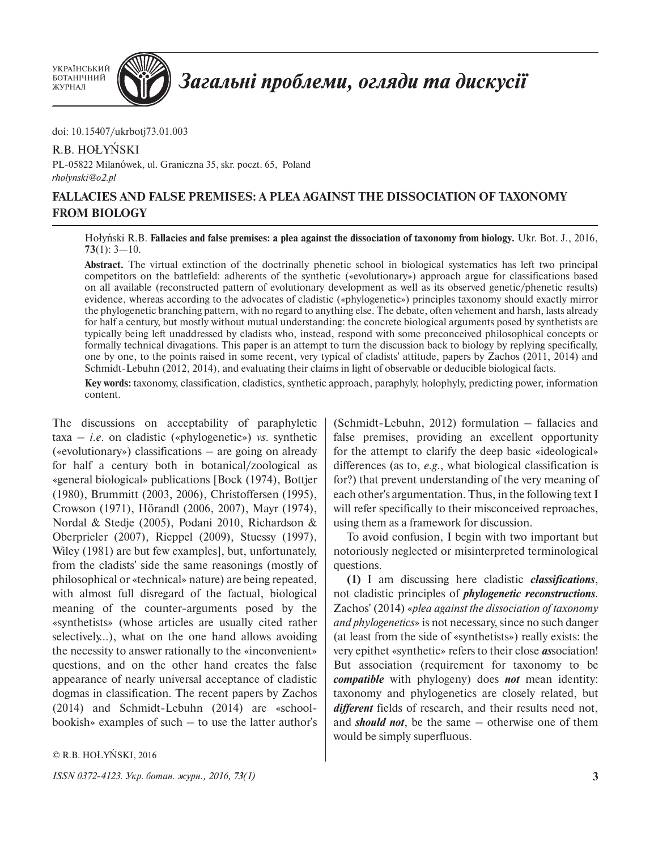УКРАЇНСЬКИЙ БОТАНІЧНИЙ ЖУРНАЛ



## Загальні проблеми, огляди та дискусії

doi: 10.15407/ukrbotj73.01.003

## R.B. HOŁYŃSKI

PL-05822 Milanówek, ul. Graniczna 35, skr. poczt. 65, Poland *[rholynski@o2.pl](mailto:holynski@interia.pl)*

## **FALLACIES AND FALSE PREMISES: A PLEA AGAINST THE DISSOCIATION OF TAXONOMY FROM BIOLOGY**

Hołyński R.B. **Fallacies and false premises: a plea against the dissociation of taxonomy from biology.** Ukr. Bot. J., 2016, **73**(1): 3—10.

**Abstract.** The virtual extinction of the doctrinally phenetic school in biological systematics has left two principal competitors on the battlefield: adherents of the synthetic («evolutionary») approach argue for classifications based on all available (reconstructed pattern of evolutionary development as well as its observed genetic/phenetic results) evidence, whereas according to the advocates of cladistic («phylogenetic») principles taxonomy should exactly mirror the phylogenetic branching pattern, with no regard to anything else. The debate, often vehement and harsh, lasts already for half a century, but mostly without mutual understanding: the concrete biological arguments posed by synthetists are typically being left unaddressed by cladists who, instead, respond with some preconceived philosophical concepts or formally technical divagations. This paper is an attempt to turn the discussion back to biology by replying specifically, one by one, to the points raised in some recent, very typical of cladists' attitude, papers by Zachos (2011, 2014) and Schmidt-Lebuhn (2012, 2014), and evaluating their claims in light of observable or deducible biological facts.

**Key words:** taxonomy, classification, cladistics, synthetic approach, paraphyly, holophyly, predicting power, information content.

The discussions on acceptability of paraphyletic taxa – *i.e*. on cladistic («phylogenetic») *vs*. synthetic («evolutionary») classifications – are going on already for half a century both in botanical/zoological as «general biological» publications [Bock (1974), Bottjer (1980), Brummitt (2003, 2006), Christoffersen (1995), Crowson (1971), Hörandl (2006, 2007), Mayr (1974), Nordal & Stedje (2005), Podani 2010, Richardson & Oberprieler (2007), Rieppel (2009), Stuessy (1997), Wiley (1981) are but few examples], but, unfortunately, from the cladists' side the same reasonings (mostly of philosophical or «technical» nature) are being repeated, with almost full disregard of the factual, biological meaning of the counter-arguments posed by the «synthetists» (whose articles are usually cited rather selectively…), what on the one hand allows avoiding the necessity to answer rationally to the «inconvenient» questions, and on the other hand creates the false appearance of nearly universal acceptance of cladistic dogmas in classification. The recent papers by Zachos (2014) and Schmidt-Lebuhn (2014) are «schoolbookish» examples of such – to use the latter author's

© R.B. HOŁYŃSKI, 2016

*ISSN 0372-4123. Укр. ботан. журн., 2016, 73(1)* **3**

(Schmidt-Lebuhn, 2012) formulation – fallacies and false premises, providing an excellent opportunity for the attempt to clarify the deep basic «ideological» differences (as to, *e.g*., what biological classification is for?) that prevent understanding of the very meaning of each other's argumentation. Thus, in the following text I will refer specifically to their misconceived reproaches, using them as a framework for discussion.

To avoid confusion, I begin with two important but notoriously neglected or misinterpreted terminological questions.

**(1)** I am discussing here cladistic *classifications*, not cladistic principles of *phylogenetic reconstructions*. Zachos' (2014) «*plea against the dissociation of taxonomy and phylogenetics*» is not necessary, since no such danger (at least from the side of «synthetists») really exists: the very epithet «synthetic» refers to their close *as*sociation! But association (requirement for taxonomy to be *compatible* with phylogeny) does *not* mean identity: taxonomy and phylogenetics are closely related, but *different* fields of research, and their results need not, and *should not*, be the same – otherwise one of them would be simply superfluous.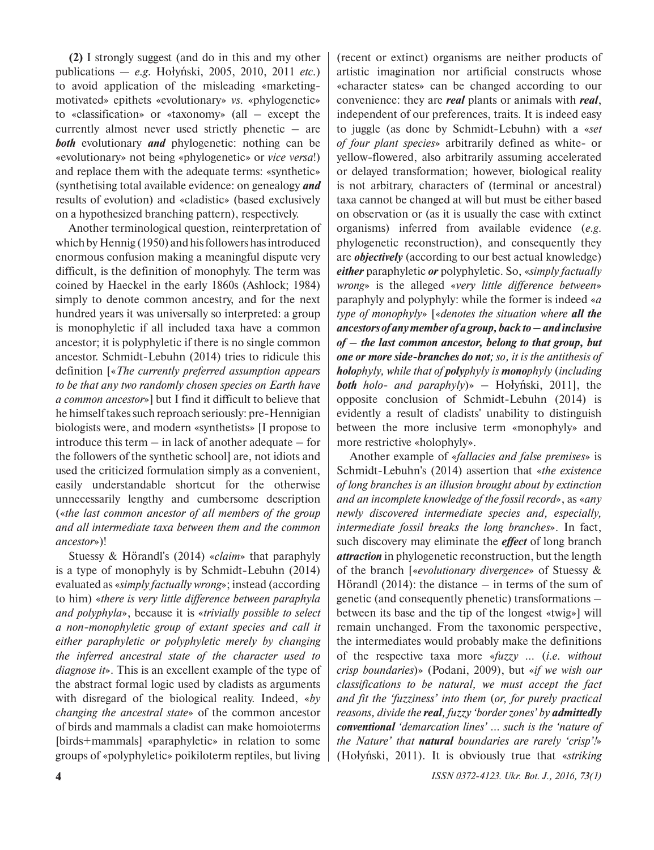**(2)** I strongly suggest (and do in this and my other publications — *e.g*. Hołyński, 2005, 2010, 2011 *etc.*) to avoid application of the misleading «marketingmotivated» epithets «evolutionary» *vs.* «phylogenetic» to «classification» or «taxonomy» (all – except the currently almost never used strictly phenetic – are *both* evolutionary *and* phylogenetic: nothing can be «evolutionary» not being «phylogenetic» or *vice versa*!) and replace them with the adequate terms: «synthetic» (synthetising total available evidence: on genealogy *and* results of evolution) and «cladistic» (based exclusively on a hypothesized branching pattern), respectively.

Another terminological question, reinterpretation of which by Hennig (1950) and his followers has introduced enormous confusion making a meaningful dispute very difficult, is the definition of monophyly. The term was coined by Haeckel in the early 1860s (Ashlock; 1984) simply to denote common ancestry, and for the next hundred years it was universally so interpreted: a group is monophyletic if all included taxa have a common ancestor; it is polyphyletic if there is no single common ancestor. Schmidt-Lebuhn (2014) tries to ridicule this definition [«*The currently preferred assumption appears to be that any two randomly chosen species on Earth have a common ancestor*»] but I find it difficult to believe that he himself takes such reproach seriously: pre-Hennigian biologists were, and modern «synthetists» [I propose to introduce this term  $-$  in lack of another adequate  $-$  for the followers of the synthetic school] are, not idiots and used the criticized formulation simply as a convenient, easily understandable shortcut for the otherwise unnecessarily lengthy and cumbersome description («*the last common ancestor of all members of the group and all intermediate taxa between them and the common ancestor*»)!

Stuessy & Hörandl's (2014) «*claim*» that paraphyly is a type of monophyly is by Schmidt-Lebuhn (2014) evaluated as «*simply factually wrong*»; instead (according to him) «*there is very little difference between paraphyla and polyphyla*», because it is «*trivially possible to select a non-monophyletic group of extant species and call it either paraphyletic or polyphyletic merely by changing the inferred ancestral state of the character used to diagnose it*». This is an excellent example of the type of the abstract formal logic used by cladists as arguments with disregard of the biological reality. Indeed, «*by changing the ancestral state*» of the common ancestor of birds and mammals a cladist can make homoioterms [birds+mammals] «paraphyletic» in relation to some groups of «polyphyletic» poikiloterm reptiles, but living

(recent or extinct) organisms are neither products of artistic imagination nor artificial constructs whose «character states» can be changed according to our convenience: they are *real* plants or animals with *real*, independent of our preferences, traits. It is indeed easy to juggle (as done by Schmidt-Lebuhn) with a «*set of four plant species*» arbitrarily defined as white- or yellow-flowered, also arbitrarily assuming accelerated or delayed transformation; however, biological reality is not arbitrary, characters of (terminal or ancestral) taxa cannot be changed at will but must be either based on observation or (as it is usually the case with extinct organisms) inferred from available evidence (*e.g*. phylogenetic reconstruction), and consequently they are *objectively* (according to our best actual knowledge) *either* paraphyletic *or* polyphyletic. So, «*simply factually wrong*» is the alleged «*very little difference between*» paraphyly and polyphyly: while the former is indeed «*a type of monophyly*» [«*denotes the situation where all the ancestors of any member of a group, back to– and inclusive of – the last common ancestor, belong to that group, but one or more side-branches do not; so, it is the antithesis of holophyly, while that of polyphyly is monophyly* (*including both holo- and paraphyly*)» – Hołyński, 2011], the opposite conclusion of Schmidt-Lebuhn (2014) is evidently a result of cladists' unability to distinguish between the more inclusive term «monophyly» and more restrictive «holophyly».

Another example of «*fallacies and false premises*» is Schmidt-Lebuhn's (2014) assertion that «*the existence of long branches is an illusion brought about by extinction and an incomplete knowledge of the fossil record*», as «*any newly discovered intermediate species and, especially, intermediate fossil breaks the long branches*». In fact, such discovery may eliminate the *effect* of long branch *attraction* in phylogenetic reconstruction, but the length of the branch [«*evolutionary divergence*» of Stuessy & Hörandl (2014): the distance – in terms of the sum of genetic (and consequently phenetic) transformations – between its base and the tip of the longest «twig»] will remain unchanged. From the taxonomic perspective, the intermediates would probably make the definitions of the respective taxa more «*fuzzy …* (*i.e. without crisp boundaries*)» (Podani, 2009), but «*if we wish our classifications to be natural, we must accept the fact and fit the 'fuzziness' into them* (*or, for purely practical reasons, divide the real, fuzzy 'border zones' by admittedly conventional 'demarcation lines' … such is the 'nature of the Nature' that natural boundaries are rarely 'crisp'!*» (Hołyński, 2011). It is obviously true that «*striking*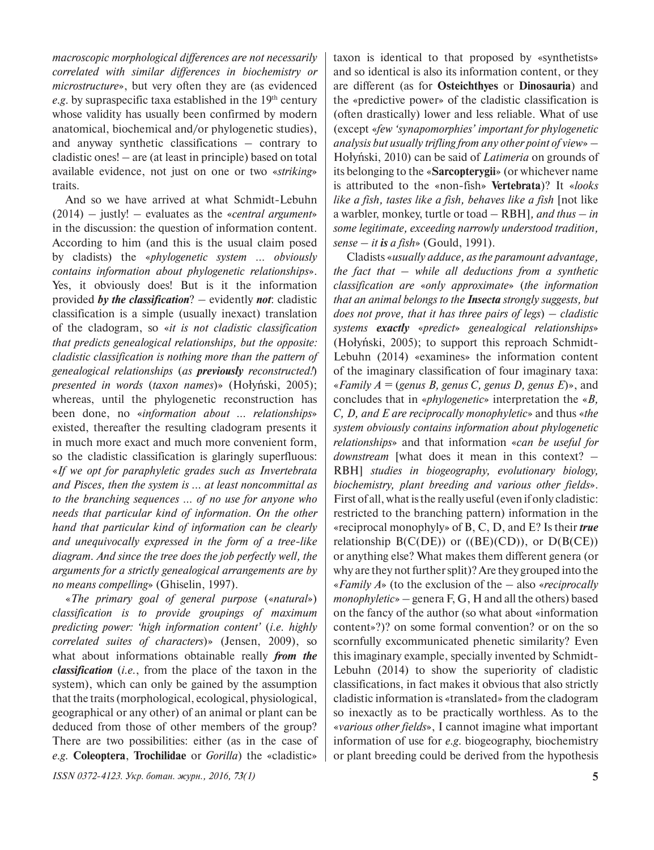*macroscopic morphological differences are not necessarily correlated with similar differences in biochemistry or microstructure*», but very often they are (as evidenced *e.g.* by supraspecific taxa established in the 19<sup>th</sup> century whose validity has usually been confirmed by modern anatomical, biochemical and/or phylogenetic studies), and anyway synthetic classifications – contrary to cladistic ones! – are (at least in principle) based on total available evidence, not just on one or two «*striking*» traits.

And so we have arrived at what Schmidt-Lebuhn (2014) – justly! – evaluates as the «*central argument*» in the discussion: the question of information content. According to him (and this is the usual claim posed by cladists) the «*phylogenetic system … obviously contains information about phylogenetic relationships*». Yes, it obviously does! But is it the information provided *by the classification*? – evidently *not*: cladistic classification is a simple (usually inexact) translation of the cladogram, so «*it is not cladistic classification that predicts genealogical relationships, but the opposite: cladistic classification is nothing more than the pattern of genealogical relationships* (*as previously reconstructed!*) *presented in words* (*taxon names*)» (Hołyński, 2005); whereas, until the phylogenetic reconstruction has been done, no «*information about … relationships*» existed, thereafter the resulting cladogram presents it in much more exact and much more convenient form, so the cladistic classification is glaringly superfluous: «*If we opt for paraphyletic grades such as Invertebrata and Pisces, then the system is ... at least noncommittal as to the branching sequences … of no use for anyone who needs that particular kind of information. On the other hand that particular kind of information can be clearly and unequivocally expressed in the form of a tree-like diagram. And since the tree does the job perfectly well, the arguments for a strictly genealogical arrangements are by no means compelling*» (Ghiselin, 1997).

«*The primary goal of general purpose* («*natural*») *classification is to provide groupings of maximum predicting power: 'high information content'* (*i.e. highly correlated suites of characters*)» (Jensen, 2009), so what about informations obtainable really *from the classification* (*i.e.*, from the place of the taxon in the system), which can only be gained by the assumption that the traits (morphological, ecological, physiological, geographical or any other) of an animal or plant can be deduced from those of other members of the group? There are two possibilities: either (as in the case of *e.g.* **Coleoptera**, **Trochilidae** or *Gorilla*) the «cladistic»

*ISSN 0372-4123. Укр. ботан. журн., 2016, 73(1)* **5**

taxon is identical to that proposed by «synthetists» and so identical is also its information content, or they are different (as for **Osteichthyes** or **Dinosauria**) and the «predictive power» of the cladistic classification is (often drastically) lower and less reliable. What of use (except «*few 'synapomorphies' important for phylogenetic analysis but usually trifling from any other point of view*» – Hołyński, 2010) can be said of *Latimeria* on grounds of its belonging to the «**Sarcopterygii**» (or whichever name is attributed to the «non-fish» **Vertebrata**)? It «*looks like a fish, tastes like a fish, behaves like a fish* [not like a warbler, monkey, turtle or toad – RBH]*, and thus – in some legitimate, exceeding narrowly understood tradition, sense – it is a fish*» (Gould, 1991).

Cladists «*usually adduce, as the paramount advantage, the fact that – while all deductions from a synthetic classification are* «*only approximate*» (*the information that an animal belongs to the Insecta strongly suggests, but does not prove, that it has three pairs of legs*) *– cladistic systems exactly* «*predict*» *genealogical relationships*» (Hołyński, 2005); to support this reproach Schmidt-Lebuhn (2014) «examines» the information content of the imaginary classification of four imaginary taxa: «*Family A =* (*genus B, genus C, genus D, genus E*)», and concludes that in «*phylogenetic*» interpretation the «*B, C, D, and E are reciprocally monophyletic*» and thus «*the system obviously contains information about phylogenetic relationships*» and that information «*can be useful for downstream* [what does it mean in this context? – RBH] *studies in biogeography, evolutionary biology, biochemistry, plant breeding and various other fields*». First of all, what is the really useful (even if only cladistic: restricted to the branching pattern) information in the «reciprocal monophyly» of B, C, D, and E? Is their *true* relationship  $B(C(DE))$  or  $((BE)(CD))$ , or  $D(B(CE))$ or anything else? What makes them different genera (or why are they not further split)? Are they grouped into the «*Family A*» (to the exclusion of the – also «*reciprocally monophyletic*» – genera F, G, H and all the others) based on the fancy of the author (so what about «information content»?)? on some formal convention? or on the so scornfully excommunicated phenetic similarity? Even this imaginary example, specially invented by Schmidt-Lebuhn (2014) to show the superiority of cladistic classifications, in fact makes it obvious that also strictly cladistic information is «translated» from the cladogram so inexactly as to be practically worthless. As to the «*various other fields*», I cannot imagine what important information of use for *e.g*. biogeography, biochemistry or plant breeding could be derived from the hypothesis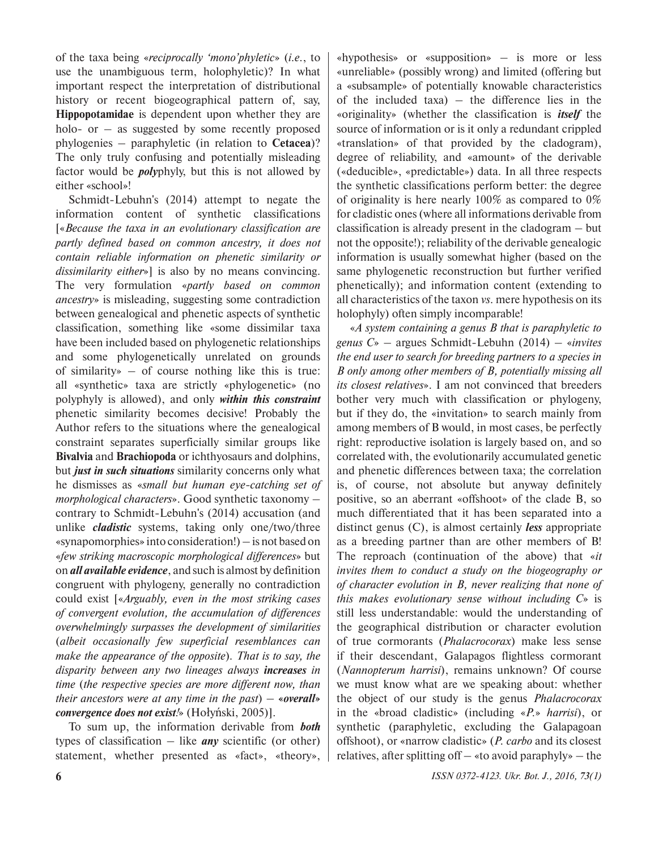of the taxa being «*reciprocally 'mono'phyletic*» (*i.e.*, to use the unambiguous term, holophyletic)? In what important respect the interpretation of distributional history or recent biogeographical pattern of, say, **Hippopotamidae** is dependent upon whether they are holo- or  $-$  as suggested by some recently proposed phylogenies – paraphyletic (in relation to **Cetacea**)? The only truly confusing and potentially misleading factor would be *poly*phyly, but this is not allowed by either «school»!

Schmidt-Lebuhn's (2014) attempt to negate the information content of synthetic classifications [«*Because the taxa in an evolutionary classification are partly defined based on common ancestry, it does not contain reliable information on phenetic similarity or dissimilarity either*»] is also by no means convincing. The very formulation «*partly based on common ancestry*» is misleading, suggesting some contradiction between genealogical and phenetic aspects of synthetic classification, something like «some dissimilar taxa have been included based on phylogenetic relationships and some phylogenetically unrelated on grounds of similarity» – of course nothing like this is true: all «synthetic» taxa are strictly «phylogenetic» (no polyphyly is allowed), and only *within this constraint* phenetic similarity becomes decisive! Probably the Author refers to the situations where the genealogical constraint separates superficially similar groups like **Bivalvia** and **Brachiopoda** or ichthyosaurs and dolphins, but *just in such situations* similarity concerns only what he dismisses as «*small but human eye-catching set of morphological characters*». Good synthetic taxonomy – contrary to Schmidt-Lebuhn's (2014) accusation (and unlike *cladistic* systems, taking only one/two/three «synapomorphies» into consideration!) – is not based on «*few striking macroscopic morphological differences*» but on *all available evidence*, and such is almost by definition congruent with phylogeny, generally no contradiction could exist [«*Arguably, even in the most striking cases of convergent evolution, the accumulation of differences overwhelmingly surpasses the development of similarities*  (*albeit occasionally few superficial resemblances can make the appearance of the opposite*)*. That is to say, the disparity between any two lineages always increases in time* (*the respective species are more different now, than their ancestors were at any time in the past*) *–* **«***overall***»** *convergence does not exist!*» (Hołyński, 2005)].

To sum up, the information derivable from *both* types of classification – like *any* scientific (or other) statement, whether presented as «fact», «theory»,

«hypothesis» or «supposition» – is more or less «unreliable» (possibly wrong) and limited (offering but a «subsample» of potentially knowable characteristics of the included taxa)  $-$  the difference lies in the «originality» (whether the classification is *itself* the source of information or is it only a redundant crippled «translation» of that provided by the cladogram), degree of reliability, and «amount» of the derivable («deducible», «predictable») data. In all three respects the synthetic classifications perform better: the degree of originality is here nearly 100% as compared to 0% for cladistic ones (where all informations derivable from classification is already present in the cladogram – but not the opposite!); reliability of the derivable genealogic information is usually somewhat higher (based on the same phylogenetic reconstruction but further verified phenetically); and information content (extending to all characteristics of the taxon *vs*. mere hypothesis on its holophyly) often simply incomparable!

«*A system containing a genus B that is paraphyletic to genus C*» – argues Schmidt-Lebuhn (2014) – «*invites the end user to search for breeding partners to a species in B only among other members of B, potentially missing all its closest relatives*». I am not convinced that breeders bother very much with classification or phylogeny, but if they do, the «invitation» to search mainly from among members of B would, in most cases, be perfectly right: reproductive isolation is largely based on, and so correlated with, the evolutionarily accumulated genetic and phenetic differences between taxa; the correlation is, of course, not absolute but anyway definitely positive, so an aberrant «offshoot» of the clade B, so much differentiated that it has been separated into a distinct genus (C), is almost certainly *less* appropriate as a breeding partner than are other members of B! The reproach (continuation of the above) that «*it invites them to conduct a study on the biogeography or of character evolution in B, never realizing that none of this makes evolutionary sense without including C*» is still less understandable: would the understanding of the geographical distribution or character evolution of true cormorants (*Phalacrocorax*) make less sense if their descendant, Galapagos flightless cormorant (*Nannopterum harrisi*), remains unknown? Of course we must know what are we speaking about: whether the object of our study is the genus *Phalacrocorax* in the «broad cladistic» (including «*P.*» *harrisi*), or synthetic (paraphyletic, excluding the Galapagoan offshoot), or «narrow cladistic» (*P. carbo* and its closest relatives, after splitting of  $-\ast$  to avoid paraphyly  $-\ast$  the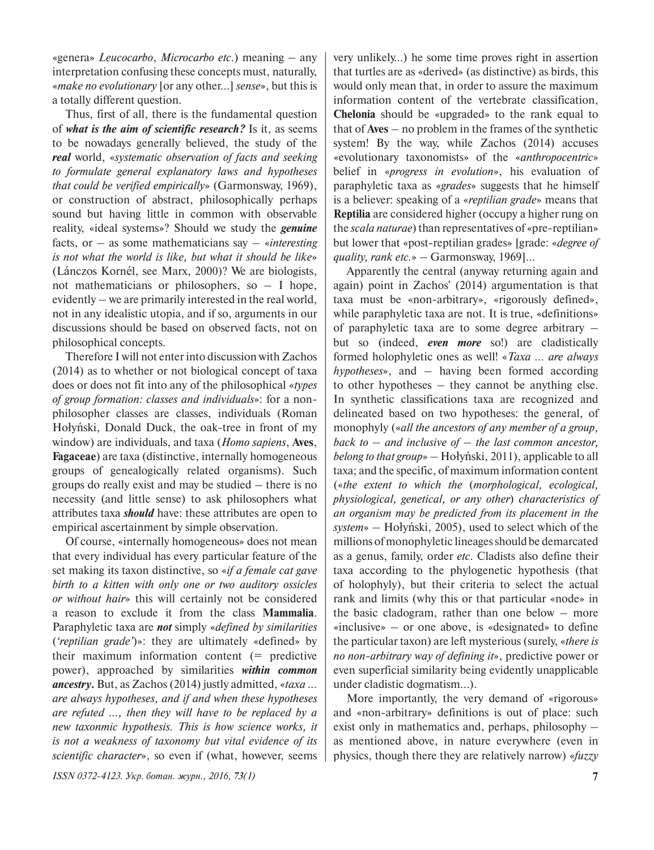«genera» *Leucocarbo*, *Microcarbo etc*.) meaning – any interpretation confusing these concepts must, naturally, «*make no evolutionary* [or any other…] *sense*», but this is a totally different question.

Thus, first of all, there is the fundamental question of *what is the aim of scientific research?* Is it, as seems to be nowadays generally believed, the study of the *real* world, «*systematic observation of facts and seeking to formulate general explanatory laws and hypotheses that could be verified empirically*» (Garmonsway, 1969), or construction of abstract, philosophically perhaps sound but having little in common with observable reality, «ideal systems»? Should we study the *genuine* facts, or – as some mathematicians say – «*interesting is not what the world is like, but what it should be like*» (Lánczos Kornél, see Marx, 2000)? We are biologists, not mathematicians or philosophers, so  $-$  I hope, evidently – we are primarily interested in the real world, not in any idealistic utopia, and if so, arguments in our discussions should be based on observed facts, not on philosophical concepts.

Therefore I will not enter into discussion with Zachos (2014) as to whether or not biological concept of taxa does or does not fit into any of the philosophical «*types of group formation: classes and individuals*»: for a nonphilosopher classes are classes, individuals (Roman Hołyński, Donald Duck, the oak-tree in front of my window) are individuals, and taxa (*Homo sapiens*, **Aves**, **Fagaceae**) are taxa (distinctive, internally homogeneous groups of genealogically related organisms). Such groups do really exist and may be studied – there is no necessity (and little sense) to ask philosophers what attributes taxa *should* have: these attributes are open to empirical ascertainment by simple observation.

Of course, «internally homogeneous» does not mean that every individual has every particular feature of the set making its taxon distinctive, so «*if a female cat gave birth to a kitten with only one or two auditory ossicles or without hair*» this will certainly not be considered a reason to exclude it from the class **Mammalia**. Paraphyletic taxa are *not* simply «*defined by similarities*  (*'reptilian grade'*)»: they are ultimately «defined» by their maximum information content (= predictive power), approached by similarities *within common ancestry***.** But, as Zachos (2014) justly admitted, «*taxa … are always hypotheses, and if and when these hypotheses are refuted …, then they will have to be replaced by a new taxonmic hypothesis. This is how science works, it is not a weakness of taxonomy but vital evidence of its scientific character*», so even if (what, however, seems

*ISSN 0372-4123. Укр. ботан. журн., 2016, 73(1)* **7**

very unlikely…) he some time proves right in assertion that turtles are as «derived» (as distinctive) as birds, this would only mean that, in order to assure the maximum information content of the vertebrate classification, **Chelonia** should be «upgraded» to the rank equal to that of **Aves** – no problem in the frames of the synthetic system! By the way, while Zachos (2014) accuses «evolutionary taxonomists» of the «*anthropocentric*» belief in «*progress in evolution*», his evaluation of paraphyletic taxa as «*grades*» suggests that he himself is a believer: speaking of a «*reptilian grade*» means that **Reptilia** are considered higher (occupy a higher rung on the *scala naturae*) than representatives of «pre-reptilian» but lower that «post-reptilian grades» [grade: «*degree of quality, rank etc.*» – Garmonsway, 1969]…

Apparently the central (anyway returning again and again) point in Zachos' (2014) argumentation is that taxa must be «non-arbitrary», «rigorously defined», while paraphyletic taxa are not. It is true, «definitions» of paraphyletic taxa are to some degree arbitrary – but so (indeed, *even more* so!) are cladistically formed holophyletic ones as well! «*Taxa … are always hypotheses*», and – having been formed according to other hypotheses – they cannot be anything else. In synthetic classifications taxa are recognized and delineated based on two hypotheses: the general, of monophyly («*all the ancestors of any member of a group, back to – and inclusive of – the last common ancestor, belong to that group*» – Hołyński, 2011), applicable to all taxa; and the specific, of maximum information content («*the extent to which the* (*morphological, ecological, physiological, genetical, or any other*) *characteristics of an organism may be predicted from its placement in the system*» – Hołyński, 2005), used to select which of the millions of monophyletic lineages should be demarcated as a genus, family, order *etc*. Cladists also define their taxa according to the phylogenetic hypothesis (that of holophyly), but their criteria to select the actual rank and limits (why this or that particular «node» in the basic cladogram, rather than one below – more «inclusive» – or one above, is «designated» to define the particular taxon) are left mysterious (surely, «*there is no non-arbitrary way of defining it*», predictive power or even superficial similarity being evidently unapplicable under cladistic dogmatism…).

More importantly, the very demand of «rigorous» and «non-arbitrary» definitions is out of place: such exist only in mathematics and, perhaps, philosophy – as mentioned above, in nature everywhere (even in physics, though there they are relatively narrow) «*fuzzy*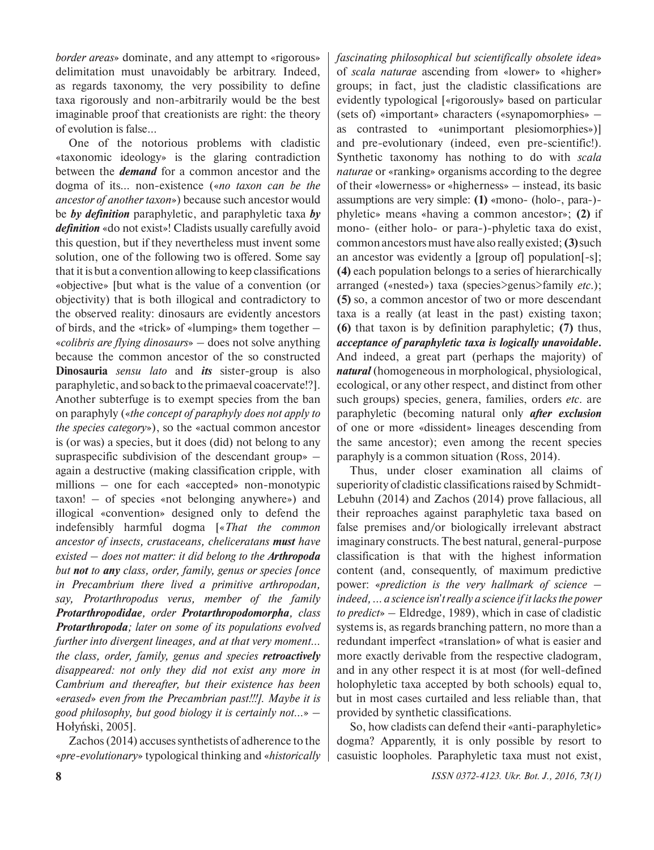*border areas*» dominate, and any attempt to «rigorous» delimitation must unavoidably be arbitrary. Indeed, as regards taxonomy, the very possibility to define taxa rigorously and non-arbitrarily would be the best imaginable proof that creationists are right: the theory of evolution is false…

One of the notorious problems with cladistic «taxonomic ideology» is the glaring contradiction between the *demand* for a common ancestor and the dogma of its… non-existence («*no taxon can be the ancestor of another taxon*») because such ancestor would be *by definition* paraphyletic, and paraphyletic taxa *by definition* «do not exist»! Cladists usually carefully avoid this question, but if they nevertheless must invent some solution, one of the following two is offered. Some say that it is but a convention allowing to keep classifications «objective» [but what is the value of a convention (or objectivity) that is both illogical and contradictory to the observed reality: dinosaurs are evidently ancestors of birds, and the «trick» of «lumping» them together – «*colibris are flying dinosaurs*» – does not solve anything because the common ancestor of the so constructed **Dinosauria** *sensu lato* and *its* sister-group is also paraphyletic, and so back to the primaeval coacervate!?]. Another subterfuge is to exempt species from the ban on paraphyly («*the concept of paraphyly does not apply to the species category*»), so the «actual common ancestor is (or was) a species, but it does (did) not belong to any supraspecific subdivision of the descendant group» – again a destructive (making classification cripple, with millions – one for each «accepted» non-monotypic taxon! – of species «not belonging anywhere») and illogical «convention» designed only to defend the indefensibly harmful dogma [«*That the common ancestor of insects, crustaceans, cheliceratans must have existed – does not matter: it did belong to the Arthropoda but not to any class, order, family, genus or species [once in Precambrium there lived a primitive arthropodan, say, Protarthropodus verus, member of the family Protarthropodidae, order Protarthropodomorpha, class Protarthropoda; later on some of its populations evolved further into divergent lineages, and at that very moment… the class, order, family, genus and species retroactively disappeared: not only they did not exist any more in Cambrium and thereafter, but their existence has been*  «*erased*» *even from the Precambrian past!!!]. Maybe it is good philosophy, but good biology it is certainly not…*» – Hołyński, 2005].

Zachos (2014) accuses synthetists of adherence to the «*pre-evolutionary*» typological thinking and «*historically*  *fascinating philosophical but scientifically obsolete idea*» of *scala naturae* ascending from «lower» to «higher» groups; in fact, just the cladistic classifications are evidently typological [«rigorously» based on particular (sets of) «important» characters («synapomorphies» – as contrasted to «unimportant plesiomorphies»)] and pre-evolutionary (indeed, even pre-scientific!). Synthetic taxonomy has nothing to do with *scala naturae* or «ranking» organisms according to the degree of their «lowerness» or «higherness» – instead, its basic assumptions are very simple: **(1)** «mono- (holo-, para-) phyletic» means «having a common ancestor»; **(2)** if mono- (either holo- or para-)-phyletic taxa do exist, common ancestors must have also really existed; **(3)** such an ancestor was evidently a [group of] population[-s]; **(4)** each population belongs to a series of hierarchically arranged («nested») taxa (species>genus>family *etc*.); **(5)** so, a common ancestor of two or more descendant taxa is a really (at least in the past) existing taxon; **(6)** that taxon is by definition paraphyletic; **(7)** thus, *acceptance of paraphyletic taxa is logically unavoidable***.** And indeed, a great part (perhaps the majority) of *natural* (homogeneous in morphological, physiological, ecological, or any other respect, and distinct from other such groups) species, genera, families, orders *etc*. are paraphyletic (becoming natural only *after exclusion* of one or more «dissident» lineages descending from the same ancestor); even among the recent species paraphyly is a common situation (Ross, 2014).

Thus, under closer examination all claims of superiority of cladistic classifications raised by Schmidt-Lebuhn (2014) and Zachos (2014) prove fallacious, all their reproaches against paraphyletic taxa based on false premises and/or biologically irrelevant abstract imaginary constructs. The best natural, general-purpose classification is that with the highest information content (and, consequently, of maximum predictive power: «*prediction is the very hallmark of science – indeed,... a science isn*'*t really a science if it lacks the power to predict*» – Eldredge, 1989), which in case of cladistic systems is, as regards branching pattern, no more than a redundant imperfect «translation» of what is easier and more exactly derivable from the respective cladogram, and in any other respect it is at most (for well-defined holophyletic taxa accepted by both schools) equal to, but in most cases curtailed and less reliable than, that provided by synthetic classifications.

So, how cladists can defend their «anti-paraphyletic» dogma? Apparently, it is only possible by resort to casuistic loopholes. Paraphyletic taxa must not exist,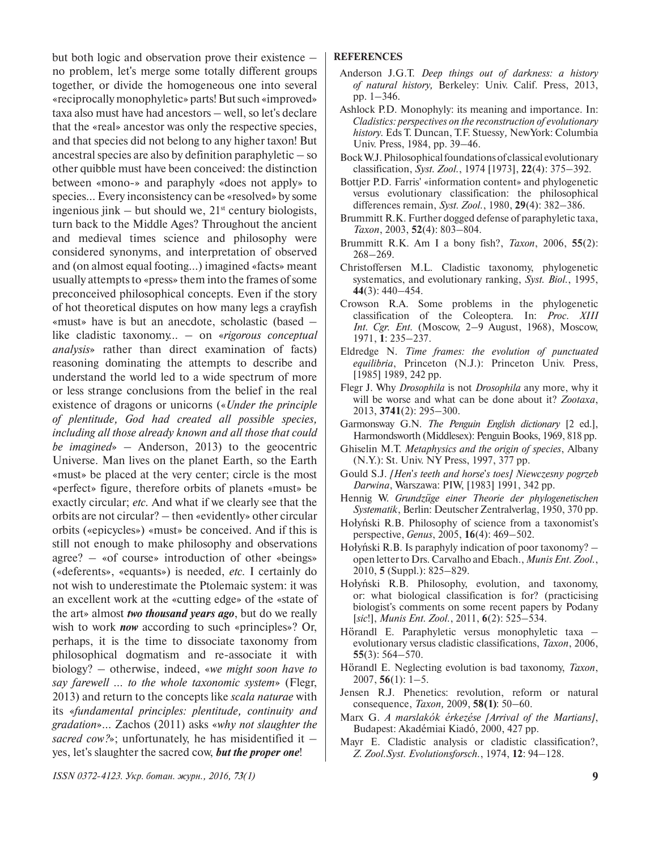but both logic and observation prove their existence – no problem, let's merge some totally different groups together, or divide the homogeneous one into several «reciprocally monophyletic» parts! But such «improved» taxa also must have had ancestors – well, so let's declare that the «real» ancestor was only the respective species, and that species did not belong to any higher taxon! But ancestral species are also by definition paraphyletic – so other quibble must have been conceived: the distinction between «mono-» and paraphyly «does not apply» to species… Every inconsistency can be «resolved» by some ingenious jink – but should we,  $21<sup>st</sup>$  century biologists, turn back to the Middle Ages? Throughout the ancient and medieval times science and philosophy were considered synonyms, and interpretation of observed and (on almost equal footing…) imagined «facts» meant usually attempts to «press» them into the frames of some preconceived philosophical concepts. Even if the story of hot theoretical disputes on how many legs a crayfish «must» have is but an anecdote, scholastic (based – like cladistic taxonomy… – on «*rigorous conceptual analysis*» rather than direct examination of facts) reasoning dominating the attempts to describe and understand the world led to a wide spectrum of more or less strange conclusions from the belief in the real existence of dragons or unicorns («*Under the principle of plentitude, God had created all possible species, including all those already known and all those that could be imagined*» – Anderson, 2013) to the geocentric Universe. Man lives on the planet Earth, so the Earth «must» be placed at the very center; circle is the most «perfect» figure, therefore orbits of planets «must» be exactly circular; *etc.* And what if we clearly see that the orbits are not circular? – then «evidently» other circular orbits («epicycles») «must» be conceived. And if this is still not enough to make philosophy and observations agree? – «of course» introduction of other «beings» («deferents», «equants») is needed, *etc.* I certainly do not wish to underestimate the Ptolemaic system: it was an excellent work at the «cutting edge» of the «state of the art» almost *two thousand years ago*, but do we really wish to work *now* according to such «principles»? Or, perhaps, it is the time to dissociate taxonomy from philosophical dogmatism and re-associate it with biology? – otherwise, indeed, «*we might soon have to say farewell … to the whole taxonomic system*» (Flegr, 2013) and return to the concepts like *scala naturae* with its «*fundamental principles: plentitude, continuity and gradation*»… Zachos (2011) asks «*why not slaughter the sacred cow?*»; unfortunately, he has misidentified it – yes, let's slaughter the sacred cow, *but the proper one*!

## **REFERENCES**

- Anderson J.G.T. *Deep things out of darkness: a history of natural history,* Berkeley: Univ. Calif. Press, 2013, pp. 1–346.
- Ashlock P.D. Monophyly: its meaning and importance. In: *Cladistics: perspectives on the reconstruction of evolutionary history.* Eds T. Duncan, T.F. Stuessy*,* NewYork: Columbia Univ. Press, 1984, pp. 39–46.
- BockW.J. Philosophical foundations of classical evolutionary classification, *Syst. Zool.*, 1974 [1973], **22**(4): 375–392.
- Bottjer P.D. Farris' «information content» and phylogenetic versus evolutionary classification: the philosophical differences remain, *Syst. Zool.*, 1980, **29**(4): 382–386.
- Brummitt R.K. Further dogged defense of paraphyletic taxa, *Taxon*, 2003, **52**(4): 803–804.
- Brummitt R.K. Am I a bony fish?, *Taxon*, 2006, **55**(2): 268–269.
- Christoffersen M.L. Cladistic taxonomy, phylogenetic systematics, and evolutionary ranking, *Syst. Biol.*, 1995, **44**(3): 440–454.
- Crowson R.A. Some problems in the phylogenetic classification of the Coleoptera*.* In: *Proc. XIII Int. Cgr. Ent.* (Moscow, 2–9 August, 1968), Moscow, 1971, **1**: 235–237.
- Eldredge N. *Time frames: the evolution of punctuated equilibria*, Princeton (N.J.): Princeton Univ. Press, [1985] 1989, 242 pp.
- Flegr J. Why *Drosophila* is not *Drosophila* any more, why it will be worse and what can be done about it? *Zootaxa*, 2013, **3741**(2): 295–300.
- Garmonsway G.N. *The Penguin English dictionary* [2 ed.], Harmondsworth (Middlesex): Penguin Books, 1969, 818 pp.
- Ghiselin M.T. *Metaphysics and the origin of species*, Albany (N.Y.): St. Univ. NY Press, 1997, 377 pp.
- Gould S.J. *[Hen*'*s teeth and horse*'*s toes] Niewczesny pogrzeb Darwina*, Warszawa: PIW, [1983] 1991, 342 pp.
- Hennig W. *Grundzüge einer Theorie der phylogenetischen Systematik*, Berlin: Deutscher Zentralverlag, 1950, 370 pp.
- Hołyński R.B. Philosophy of science from a taxonomist's perspective, *Genus*, 2005, **16**(4): 469–502.
- Hołyński R.B. Is paraphyly indication of poor taxonomy? open letter to Drs. Carvalho and Ebach., *Munis Ent. Zool.*, 2010, **5** (Suppl.): 825–829.
- Hołyński R.B. Philosophy, evolution, and taxonomy, or: what biological classification is for? (practicising biologist's comments on some recent papers by Podany [*sic*!], *Munis Ent. Zool.*, 2011, **6**(2): 525–534.
- Hörandl E. Paraphyletic versus monophyletic taxa evolutionary versus cladistic classifications, *Taxon*, 2006, **55**(3): 564–570.
- Hörandl E. Neglecting evolution is bad taxonomy, *Taxon*, 2007, **56**(1): 1–5.
- Jensen R.J. Phenetics: revolution, reform or natural consequence, *Taxon,* 2009, **58(1)**: 50–60.
- Marx G. *A marslakók érkezése [Arrival of the Martians]*, Budapest: Akadémiai Kiadó, 2000, 427 pp.
- Mayr E. Cladistic analysis or cladistic classification?, *Z. Zool.Syst. Evolutionsforsch.*, 1974, **12**: 94–128.

*ISSN 0372-4123. Укр. ботан. журн., 2016, 73(1)* **9**